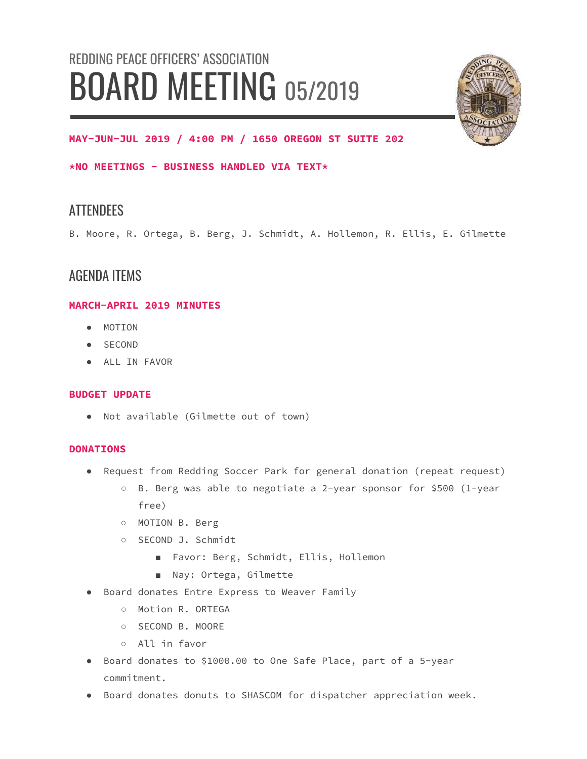# REDDING PEACE OFFICERS' ASSOCIATION BOARD MEETING 05/2019



### **MAY-JUN-JUL 2019 / 4:00 PM / 1650 OREGON ST SUITE 202**

**\*NO MEETINGS - BUSINESS HANDLED VIA TEXT\***

## **ATTENDEES**

B. Moore, R. Ortega, B. Berg, J. Schmidt, A. Hollemon, R. Ellis, E. Gilmette

## AGENDA ITEMS

#### **MARCH-APRIL 2019 MINUTES**

- MOTION
- SECOND
- ALL IN FAVOR

#### **BUDGET UPDATE**

● Not available (Gilmette out of town)

#### **DONATIONS**

- Request from Redding Soccer Park for general donation (repeat request)
	- B. Berg was able to negotiate a 2-year sponsor for \$500 (1-year free)
	- MOTION B. Berg
	- SECOND J. Schmidt
		- Favor: Berg, Schmidt, Ellis, Hollemon
		- Nay: Ortega, Gilmette
- Board donates Entre Express to Weaver Family
	- Motion R. ORTEGA
	- SECOND B. MOORE
	- All in favor
- Board donates to \$1000.00 to One Safe Place, part of a 5-year commitment.
- Board donates donuts to SHASCOM for dispatcher appreciation week.